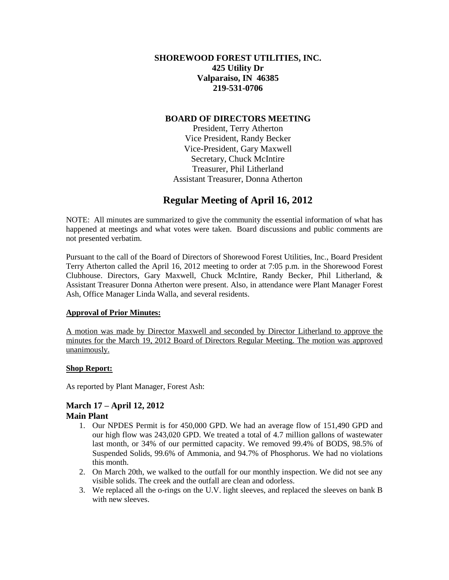# **SHOREWOOD FOREST UTILITIES, INC. 425 Utility Dr Valparaiso, IN 46385 219-531-0706**

## **BOARD OF DIRECTORS MEETING**

President, Terry Atherton Vice President, Randy Becker Vice-President, Gary Maxwell Secretary, Chuck McIntire Treasurer, Phil Litherland Assistant Treasurer, Donna Atherton

# **Regular Meeting of April 16, 2012**

NOTE: All minutes are summarized to give the community the essential information of what has happened at meetings and what votes were taken. Board discussions and public comments are not presented verbatim.

Pursuant to the call of the Board of Directors of Shorewood Forest Utilities, Inc., Board President Terry Atherton called the April 16, 2012 meeting to order at 7:05 p.m. in the Shorewood Forest Clubhouse. Directors, Gary Maxwell, Chuck McIntire, Randy Becker, Phil Litherland, & Assistant Treasurer Donna Atherton were present. Also, in attendance were Plant Manager Forest Ash, Office Manager Linda Walla, and several residents.

# **Approval of Prior Minutes:**

A motion was made by Director Maxwell and seconded by Director Litherland to approve the minutes for the March 19, 2012 Board of Directors Regular Meeting. The motion was approved unanimously.

# **Shop Report:**

As reported by Plant Manager, Forest Ash:

### **March 17 – April 12, 2012 Main Plant**

- 1. Our NPDES Permit is for 450,000 GPD. We had an average flow of 151,490 GPD and our high flow was 243,020 GPD. We treated a total of 4.7 million gallons of wastewater last month, or 34% of our permitted capacity. We removed 99.4% of BODS, 98.5% of Suspended Solids, 99.6% of Ammonia, and 94.7% of Phosphorus. We had no violations this month.
- 2. On March 20th, we walked to the outfall for our monthly inspection. We did not see any visible solids. The creek and the outfall are clean and odorless.
- 3. We replaced all the o-rings on the U.V. light sleeves, and replaced the sleeves on bank B with new sleeves.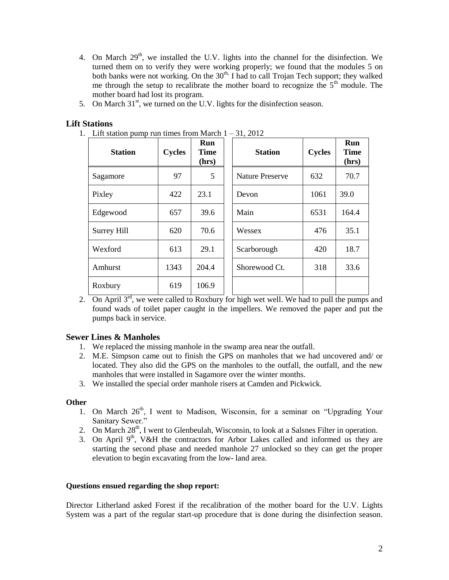- 4. On March  $29<sup>th</sup>$ , we installed the U.V. lights into the channel for the disinfection. We turned them on to verify they were working properly; we found that the modules 5 on both banks were not working. On the  $30<sup>th</sup>$ , I had to call Trojan Tech support; they walked me through the setup to recalibrate the mother board to recognize the  $5<sup>th</sup>$  module. The mother board had lost its program.
- 5. On March  $31<sup>st</sup>$ , we turned on the U.V. lights for the disinfection season.

## **Lift Stations**

1. Lift station pump run times from March  $1 - 31$ , 2012

| <b>Station</b> | <b>Cycles</b> | Run<br><b>Time</b><br>(hrs) | <b>Station</b>         | <b>Cycles</b> | Run<br><b>Time</b><br>(hrs) |
|----------------|---------------|-----------------------------|------------------------|---------------|-----------------------------|
| Sagamore       | 97            | $5\overline{)}$             | <b>Nature Preserve</b> | 632           | 70.7                        |
| Pixley         | 422           | 23.1                        | Devon                  | 1061          | 39.0                        |
| Edgewood       | 657           | 39.6                        | Main                   | 6531          | 164.4                       |
| Surrey Hill    | 620           | 70.6                        | Wessex                 | 476           | 35.1                        |
| Wexford        | 613           | 29.1                        | Scarborough            | 420           | 18.7                        |
| Amhurst        | 1343          | 204.4                       | Shorewood Ct.          | 318           | 33.6                        |
| Roxbury        | 619           | 106.9                       |                        |               |                             |

2. On April  $3^{rd}$ , we were called to Roxbury for high wet well. We had to pull the pumps and found wads of toilet paper caught in the impellers. We removed the paper and put the pumps back in service.

# **Sewer Lines & Manholes**

- 1. We replaced the missing manhole in the swamp area near the outfall.
- 2. M.E. Simpson came out to finish the GPS on manholes that we had uncovered and/ or located. They also did the GPS on the manholes to the outfall, the outfall, and the new manholes that were installed in Sagamore over the winter months.
- 3. We installed the special order manhole risers at Camden and Pickwick.

### **Other**

- 1. On March  $26<sup>th</sup>$ , I went to Madison, Wisconsin, for a seminar on "Upgrading Your Sanitary Sewer."
- 2. On March  $28<sup>th</sup>$ , I went to Glenbeulah, Wisconsin, to look at a Salsnes Filter in operation.
- 3. On April  $9<sup>th</sup>$ , V&H the contractors for Arbor Lakes called and informed us they are starting the second phase and needed manhole 27 unlocked so they can get the proper elevation to begin excavating from the low- land area.

### **Questions ensued regarding the shop report:**

Director Litherland asked Forest if the recalibration of the mother board for the U.V. Lights System was a part of the regular start-up procedure that is done during the disinfection season.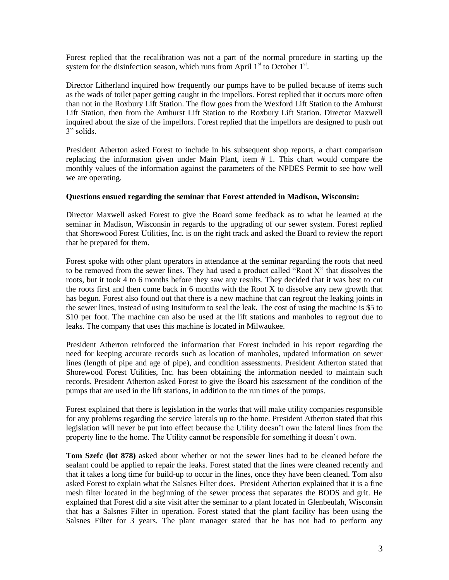Forest replied that the recalibration was not a part of the normal procedure in starting up the system for the disinfection season, which runs from April  $1<sup>st</sup>$  to October  $1<sup>st</sup>$ .

Director Litherland inquired how frequently our pumps have to be pulled because of items such as the wads of toilet paper getting caught in the impellors. Forest replied that it occurs more often than not in the Roxbury Lift Station. The flow goes from the Wexford Lift Station to the Amhurst Lift Station, then from the Amhurst Lift Station to the Roxbury Lift Station. Director Maxwell inquired about the size of the impellors. Forest replied that the impellors are designed to push out 3" solids.

President Atherton asked Forest to include in his subsequent shop reports, a chart comparison replacing the information given under Main Plant, item # 1. This chart would compare the monthly values of the information against the parameters of the NPDES Permit to see how well we are operating.

#### **Questions ensued regarding the seminar that Forest attended in Madison, Wisconsin:**

Director Maxwell asked Forest to give the Board some feedback as to what he learned at the seminar in Madison, Wisconsin in regards to the upgrading of our sewer system. Forest replied that Shorewood Forest Utilities, Inc. is on the right track and asked the Board to review the report that he prepared for them.

Forest spoke with other plant operators in attendance at the seminar regarding the roots that need to be removed from the sewer lines. They had used a product called "Root X" that dissolves the roots, but it took 4 to 6 months before they saw any results. They decided that it was best to cut the roots first and then come back in 6 months with the Root X to dissolve any new growth that has begun. Forest also found out that there is a new machine that can regrout the leaking joints in the sewer lines, instead of using Insituform to seal the leak. The cost of using the machine is \$5 to \$10 per foot. The machine can also be used at the lift stations and manholes to regrout due to leaks. The company that uses this machine is located in Milwaukee.

President Atherton reinforced the information that Forest included in his report regarding the need for keeping accurate records such as location of manholes, updated information on sewer lines (length of pipe and age of pipe), and condition assessments. President Atherton stated that Shorewood Forest Utilities, Inc. has been obtaining the information needed to maintain such records. President Atherton asked Forest to give the Board his assessment of the condition of the pumps that are used in the lift stations, in addition to the run times of the pumps.

Forest explained that there is legislation in the works that will make utility companies responsible for any problems regarding the service laterals up to the home. President Atherton stated that this legislation will never be put into effect because the Utility doesn't own the lateral lines from the property line to the home. The Utility cannot be responsible for something it doesn't own.

**Tom Szefc (lot 878)** asked about whether or not the sewer lines had to be cleaned before the sealant could be applied to repair the leaks. Forest stated that the lines were cleaned recently and that it takes a long time for build-up to occur in the lines, once they have been cleaned. Tom also asked Forest to explain what the Salsnes Filter does. President Atherton explained that it is a fine mesh filter located in the beginning of the sewer process that separates the BODS and grit. He explained that Forest did a site visit after the seminar to a plant located in Glenbeulah, Wisconsin that has a Salsnes Filter in operation. Forest stated that the plant facility has been using the Salsnes Filter for 3 years. The plant manager stated that he has not had to perform any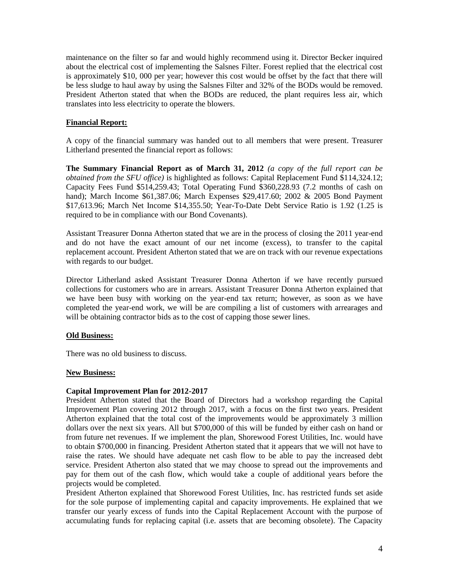maintenance on the filter so far and would highly recommend using it. Director Becker inquired about the electrical cost of implementing the Salsnes Filter. Forest replied that the electrical cost is approximately \$10, 000 per year; however this cost would be offset by the fact that there will be less sludge to haul away by using the Salsnes Filter and 32% of the BODs would be removed. President Atherton stated that when the BODs are reduced, the plant requires less air, which translates into less electricity to operate the blowers.

### **Financial Report:**

A copy of the financial summary was handed out to all members that were present. Treasurer Litherland presented the financial report as follows:

**The Summary Financial Report as of March 31, 2012** *(a copy of the full report can be obtained from the SFU office)* is highlighted as follows: Capital Replacement Fund \$114,324.12; Capacity Fees Fund \$514,259.43; Total Operating Fund \$360,228.93 (7.2 months of cash on hand); March Income \$61,387.06; March Expenses \$29,417.60; 2002 & 2005 Bond Payment \$17,613.96; March Net Income \$14,355.50; Year-To-Date Debt Service Ratio is 1.92 (1.25 is required to be in compliance with our Bond Covenants).

Assistant Treasurer Donna Atherton stated that we are in the process of closing the 2011 year-end and do not have the exact amount of our net income (excess), to transfer to the capital replacement account. President Atherton stated that we are on track with our revenue expectations with regards to our budget.

Director Litherland asked Assistant Treasurer Donna Atherton if we have recently pursued collections for customers who are in arrears. Assistant Treasurer Donna Atherton explained that we have been busy with working on the year-end tax return; however, as soon as we have completed the year-end work, we will be are compiling a list of customers with arrearages and will be obtaining contractor bids as to the cost of capping those sewer lines.

### **Old Business:**

There was no old business to discuss.

### **New Business:**

### **Capital Improvement Plan for 2012-2017**

President Atherton stated that the Board of Directors had a workshop regarding the Capital Improvement Plan covering 2012 through 2017, with a focus on the first two years. President Atherton explained that the total cost of the improvements would be approximately 3 million dollars over the next six years. All but \$700,000 of this will be funded by either cash on hand or from future net revenues. If we implement the plan, Shorewood Forest Utilities, Inc. would have to obtain \$700,000 in financing. President Atherton stated that it appears that we will not have to raise the rates. We should have adequate net cash flow to be able to pay the increased debt service. President Atherton also stated that we may choose to spread out the improvements and pay for them out of the cash flow, which would take a couple of additional years before the projects would be completed.

President Atherton explained that Shorewood Forest Utilities, Inc. has restricted funds set aside for the sole purpose of implementing capital and capacity improvements. He explained that we transfer our yearly excess of funds into the Capital Replacement Account with the purpose of accumulating funds for replacing capital (i.e. assets that are becoming obsolete). The Capacity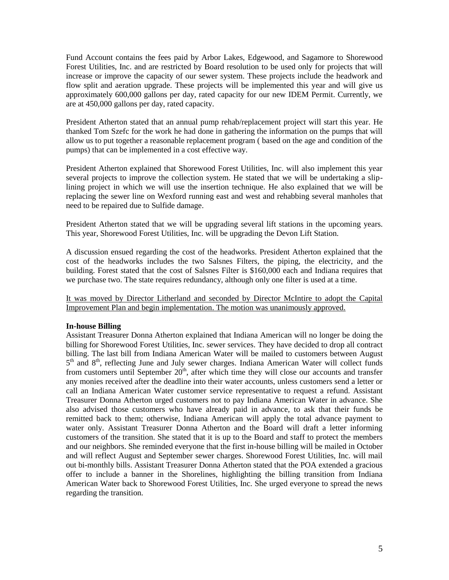Fund Account contains the fees paid by Arbor Lakes, Edgewood, and Sagamore to Shorewood Forest Utilities, Inc. and are restricted by Board resolution to be used only for projects that will increase or improve the capacity of our sewer system. These projects include the headwork and flow split and aeration upgrade. These projects will be implemented this year and will give us approximately 600,000 gallons per day, rated capacity for our new IDEM Permit. Currently, we are at 450,000 gallons per day, rated capacity.

President Atherton stated that an annual pump rehab/replacement project will start this year. He thanked Tom Szefc for the work he had done in gathering the information on the pumps that will allow us to put together a reasonable replacement program ( based on the age and condition of the pumps) that can be implemented in a cost effective way.

President Atherton explained that Shorewood Forest Utilities, Inc. will also implement this year several projects to improve the collection system. He stated that we will be undertaking a sliplining project in which we will use the insertion technique. He also explained that we will be replacing the sewer line on Wexford running east and west and rehabbing several manholes that need to be repaired due to Sulfide damage.

President Atherton stated that we will be upgrading several lift stations in the upcoming years. This year, Shorewood Forest Utilities, Inc. will be upgrading the Devon Lift Station.

A discussion ensued regarding the cost of the headworks. President Atherton explained that the cost of the headworks includes the two Salsnes Filters, the piping, the electricity, and the building. Forest stated that the cost of Salsnes Filter is \$160,000 each and Indiana requires that we purchase two. The state requires redundancy, although only one filter is used at a time.

It was moved by Director Litherland and seconded by Director McIntire to adopt the Capital Improvement Plan and begin implementation. The motion was unanimously approved.

### **In-house Billing**

Assistant Treasurer Donna Atherton explained that Indiana American will no longer be doing the billing for Shorewood Forest Utilities, Inc. sewer services. They have decided to drop all contract billing. The last bill from Indiana American Water will be mailed to customers between August 5<sup>th</sup> and 8<sup>th</sup>, reflecting June and July sewer charges. Indiana American Water will collect funds from customers until September  $20<sup>th</sup>$ , after which time they will close our accounts and transfer any monies received after the deadline into their water accounts, unless customers send a letter or call an Indiana American Water customer service representative to request a refund. Assistant Treasurer Donna Atherton urged customers not to pay Indiana American Water in advance. She also advised those customers who have already paid in advance, to ask that their funds be remitted back to them; otherwise, Indiana American will apply the total advance payment to water only. Assistant Treasurer Donna Atherton and the Board will draft a letter informing customers of the transition. She stated that it is up to the Board and staff to protect the members and our neighbors. She reminded everyone that the first in-house billing will be mailed in October and will reflect August and September sewer charges. Shorewood Forest Utilities, Inc. will mail out bi-monthly bills. Assistant Treasurer Donna Atherton stated that the POA extended a gracious offer to include a banner in the Shorelines, highlighting the billing transition from Indiana American Water back to Shorewood Forest Utilities, Inc. She urged everyone to spread the news regarding the transition.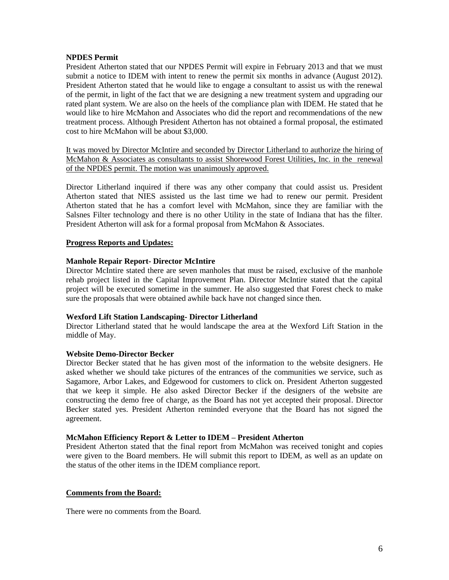### **NPDES Permit**

President Atherton stated that our NPDES Permit will expire in February 2013 and that we must submit a notice to IDEM with intent to renew the permit six months in advance (August 2012). President Atherton stated that he would like to engage a consultant to assist us with the renewal of the permit, in light of the fact that we are designing a new treatment system and upgrading our rated plant system. We are also on the heels of the compliance plan with IDEM. He stated that he would like to hire McMahon and Associates who did the report and recommendations of the new treatment process. Although President Atherton has not obtained a formal proposal, the estimated cost to hire McMahon will be about \$3,000.

It was moved by Director McIntire and seconded by Director Litherland to authorize the hiring of McMahon & Associates as consultants to assist Shorewood Forest Utilities, Inc. in the renewal of the NPDES permit. The motion was unanimously approved.

Director Litherland inquired if there was any other company that could assist us. President Atherton stated that NIES assisted us the last time we had to renew our permit. President Atherton stated that he has a comfort level with McMahon, since they are familiar with the Salsnes Filter technology and there is no other Utility in the state of Indiana that has the filter. President Atherton will ask for a formal proposal from McMahon & Associates.

#### **Progress Reports and Updates:**

#### **Manhole Repair Report- Director McIntire**

Director McIntire stated there are seven manholes that must be raised, exclusive of the manhole rehab project listed in the Capital Improvement Plan. Director McIntire stated that the capital project will be executed sometime in the summer. He also suggested that Forest check to make sure the proposals that were obtained awhile back have not changed since then.

#### **Wexford Lift Station Landscaping- Director Litherland**

Director Litherland stated that he would landscape the area at the Wexford Lift Station in the middle of May.

#### **Website Demo-Director Becker**

Director Becker stated that he has given most of the information to the website designers. He asked whether we should take pictures of the entrances of the communities we service, such as Sagamore, Arbor Lakes, and Edgewood for customers to click on. President Atherton suggested that we keep it simple. He also asked Director Becker if the designers of the website are constructing the demo free of charge, as the Board has not yet accepted their proposal. Director Becker stated yes. President Atherton reminded everyone that the Board has not signed the agreement.

#### **McMahon Efficiency Report & Letter to IDEM – President Atherton**

President Atherton stated that the final report from McMahon was received tonight and copies were given to the Board members. He will submit this report to IDEM, as well as an update on the status of the other items in the IDEM compliance report.

#### **Comments from the Board:**

There were no comments from the Board.